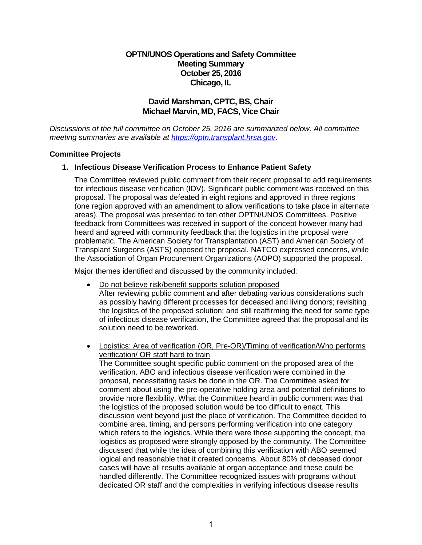# **OPTN/UNOS Operations and Safety Committee Meeting Summary October 25, 2016 Chicago, IL**

# **David Marshman, CPTC, BS, Chair Michael Marvin, MD, FACS, Vice Chair**

*Discussions of the full committee on October 25, 2016 are summarized below. All committee meeting summaries are available at [https://optn.transplant.hrsa.gov](https://optn.transplant.hrsa.gov/)*.

### **Committee Projects**

## **1. Infectious Disease Verification Process to Enhance Patient Safety**

The Committee reviewed public comment from their recent proposal to add requirements for infectious disease verification (IDV). Significant public comment was received on this proposal. The proposal was defeated in eight regions and approved in three regions (one region approved with an amendment to allow verifications to take place in alternate areas). The proposal was presented to ten other OPTN/UNOS Committees. Positive feedback from Committees was received in support of the concept however many had heard and agreed with community feedback that the logistics in the proposal were problematic. The American Society for Transplantation (AST) and American Society of Transplant Surgeons (ASTS) opposed the proposal. NATCO expressed concerns, while the Association of Organ Procurement Organizations (AOPO) supported the proposal.

Major themes identified and discussed by the community included:

- Do not believe risk/benefit supports solution proposed After reviewing public comment and after debating various considerations such as possibly having different processes for deceased and living donors; revisiting the logistics of the proposed solution; and still reaffirming the need for some type of infectious disease verification, the Committee agreed that the proposal and its solution need to be reworked.
- Logistics: Area of verification (OR, Pre-OR)/Timing of verification/Who performs verification/ OR staff hard to train

The Committee sought specific public comment on the proposed area of the verification. ABO and infectious disease verification were combined in the proposal, necessitating tasks be done in the OR. The Committee asked for comment about using the pre-operative holding area and potential definitions to provide more flexibility. What the Committee heard in public comment was that the logistics of the proposed solution would be too difficult to enact. This discussion went beyond just the place of verification. The Committee decided to combine area, timing, and persons performing verification into one category which refers to the logistics. While there were those supporting the concept, the logistics as proposed were strongly opposed by the community. The Committee discussed that while the idea of combining this verification with ABO seemed logical and reasonable that it created concerns. About 80% of deceased donor cases will have all results available at organ acceptance and these could be handled differently. The Committee recognized issues with programs without dedicated OR staff and the complexities in verifying infectious disease results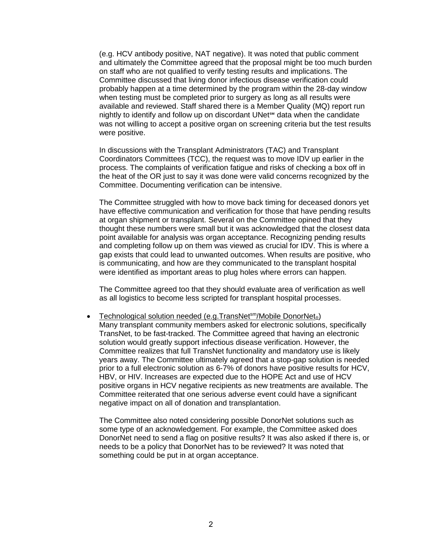(e.g. HCV antibody positive, NAT negative). It was noted that public comment and ultimately the Committee agreed that the proposal might be too much burden on staff who are not qualified to verify testing results and implications. The Committee discussed that living donor infectious disease verification could probably happen at a time determined by the program within the 28-day window when testing must be completed prior to surgery as long as all results were available and reviewed. Staff shared there is a Member Quality (MQ) report run nightly to identify and follow up on discordant UNet<sup>™</sup> data when the candidate was not willing to accept a positive organ on screening criteria but the test results were positive.

In discussions with the Transplant Administrators (TAC) and Transplant Coordinators Committees (TCC), the request was to move IDV up earlier in the process. The complaints of verification fatigue and risks of checking a box off in the heat of the OR just to say it was done were valid concerns recognized by the Committee. Documenting verification can be intensive.

The Committee struggled with how to move back timing for deceased donors yet have effective communication and verification for those that have pending results at organ shipment or transplant. Several on the Committee opined that they thought these numbers were small but it was acknowledged that the closest data point available for analysis was organ acceptance. Recognizing pending results and completing follow up on them was viewed as crucial for IDV. This is where a gap exists that could lead to unwanted outcomes. When results are positive, who is communicating, and how are they communicated to the transplant hospital were identified as important areas to plug holes where errors can happen.

The Committee agreed too that they should evaluate area of verification as well as all logistics to become less scripted for transplant hospital processes.

• Technological solution needed (e.g.TransNet<sup>sm</sup>/Mobile DonorNet<sup>®</sup>) Many transplant community members asked for electronic solutions, specifically TransNet, to be fast-tracked. The Committee agreed that having an electronic solution would greatly support infectious disease verification. However, the Committee realizes that full TransNet functionality and mandatory use is likely years away. The Committee ultimately agreed that a stop-gap solution is needed prior to a full electronic solution as 6-7% of donors have positive results for HCV, HBV, or HIV. Increases are expected due to the HOPE Act and use of HCV positive organs in HCV negative recipients as new treatments are available. The Committee reiterated that one serious adverse event could have a significant negative impact on all of donation and transplantation.

The Committee also noted considering possible DonorNet solutions such as some type of an acknowledgement. For example, the Committee asked does DonorNet need to send a flag on positive results? It was also asked if there is, or needs to be a policy that DonorNet has to be reviewed? It was noted that something could be put in at organ acceptance.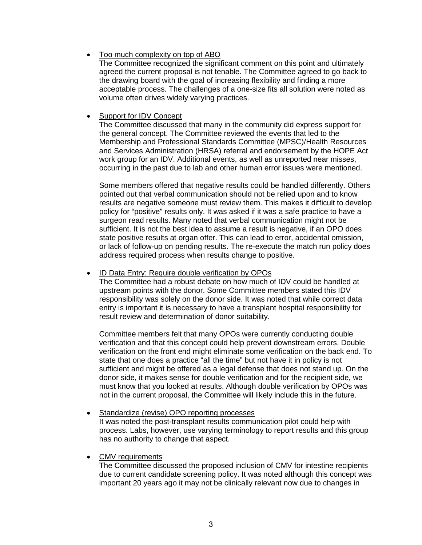## • Too much complexity on top of ABO

The Committee recognized the significant comment on this point and ultimately agreed the current proposal is not tenable. The Committee agreed to go back to the drawing board with the goal of increasing flexibility and finding a more acceptable process. The challenges of a one-size fits all solution were noted as volume often drives widely varying practices.

## • Support for IDV Concept

The Committee discussed that many in the community did express support for the general concept. The Committee reviewed the events that led to the Membership and Professional Standards Committee (MPSC)/Health Resources and Services Administration (HRSA) referral and endorsement by the HOPE Act work group for an IDV. Additional events, as well as unreported near misses, occurring in the past due to lab and other human error issues were mentioned.

Some members offered that negative results could be handled differently. Others pointed out that verbal communication should not be relied upon and to know results are negative someone must review them. This makes it difficult to develop policy for "positive" results only. It was asked if it was a safe practice to have a surgeon read results. Many noted that verbal communication might not be sufficient. It is not the best idea to assume a result is negative, if an OPO does state positive results at organ offer. This can lead to error, accidental omission, or lack of follow-up on pending results. The re-execute the match run policy does address required process when results change to positive.

### • ID Data Entry: Require double verification by OPOs

The Committee had a robust debate on how much of IDV could be handled at upstream points with the donor. Some Committee members stated this IDV responsibility was solely on the donor side. It was noted that while correct data entry is important it is necessary to have a transplant hospital responsibility for result review and determination of donor suitability.

Committee members felt that many OPOs were currently conducting double verification and that this concept could help prevent downstream errors. Double verification on the front end might eliminate some verification on the back end. To state that one does a practice "all the time" but not have it in policy is not sufficient and might be offered as a legal defense that does not stand up. On the donor side, it makes sense for double verification and for the recipient side, we must know that you looked at results. Although double verification by OPOs was not in the current proposal, the Committee will likely include this in the future.

#### • Standardize (revise) OPO reporting processes It was noted the post-transplant results communication pilot could help with process. Labs, however, use varying terminology to report results and this group

## • CMV requirements

has no authority to change that aspect.

The Committee discussed the proposed inclusion of CMV for intestine recipients due to current candidate screening policy. It was noted although this concept was important 20 years ago it may not be clinically relevant now due to changes in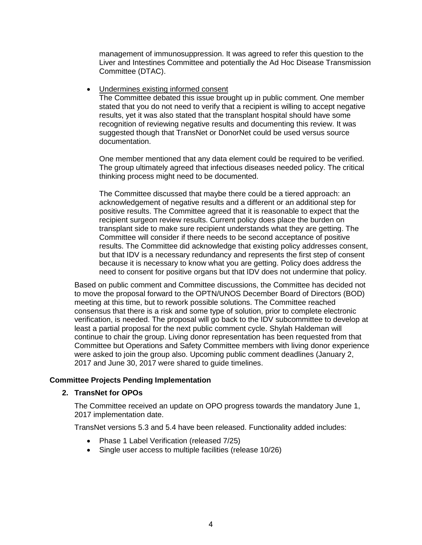management of immunosuppression. It was agreed to refer this question to the Liver and Intestines Committee and potentially the Ad Hoc Disease Transmission Committee (DTAC).

• Undermines existing informed consent

The Committee debated this issue brought up in public comment. One member stated that you do not need to verify that a recipient is willing to accept negative results, yet it was also stated that the transplant hospital should have some recognition of reviewing negative results and documenting this review. It was suggested though that TransNet or DonorNet could be used versus source documentation.

One member mentioned that any data element could be required to be verified. The group ultimately agreed that infectious diseases needed policy. The critical thinking process might need to be documented.

The Committee discussed that maybe there could be a tiered approach: an acknowledgement of negative results and a different or an additional step for positive results. The Committee agreed that it is reasonable to expect that the recipient surgeon review results. Current policy does place the burden on transplant side to make sure recipient understands what they are getting. The Committee will consider if there needs to be second acceptance of positive results. The Committee did acknowledge that existing policy addresses consent, but that IDV is a necessary redundancy and represents the first step of consent because it is necessary to know what you are getting. Policy does address the need to consent for positive organs but that IDV does not undermine that policy.

Based on public comment and Committee discussions, the Committee has decided not to move the proposal forward to the OPTN/UNOS December Board of Directors (BOD) meeting at this time, but to rework possible solutions. The Committee reached consensus that there is a risk and some type of solution, prior to complete electronic verification, is needed. The proposal will go back to the IDV subcommittee to develop at least a partial proposal for the next public comment cycle. Shylah Haldeman will continue to chair the group. Living donor representation has been requested from that Committee but Operations and Safety Committee members with living donor experience were asked to join the group also. Upcoming public comment deadlines (January 2, 2017 and June 30, 2017 were shared to guide timelines.

## **Committee Projects Pending Implementation**

#### **2. TransNet for OPOs**

The Committee received an update on OPO progress towards the mandatory June 1, 2017 implementation date.

TransNet versions 5.3 and 5.4 have been released. Functionality added includes:

- Phase 1 Label Verification (released 7/25)
- Single user access to multiple facilities (release 10/26)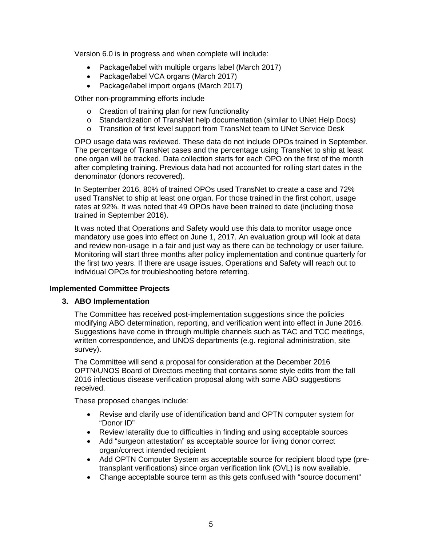Version 6.0 is in progress and when complete will include:

- Package/label with multiple organs label (March 2017)
- Package/label VCA organs (March 2017)
- Package/label import organs (March 2017)

Other non-programming efforts include

- o Creation of training plan for new functionality
- o Standardization of TransNet help documentation (similar to UNet Help Docs)
- o Transition of first level support from TransNet team to UNet Service Desk

OPO usage data was reviewed. These data do not include OPOs trained in September. The percentage of TransNet cases and the percentage using TransNet to ship at least one organ will be tracked. Data collection starts for each OPO on the first of the month after completing training. Previous data had not accounted for rolling start dates in the denominator (donors recovered).

In September 2016, 80% of trained OPOs used TransNet to create a case and 72% used TransNet to ship at least one organ. For those trained in the first cohort, usage rates at 92%. It was noted that 49 OPOs have been trained to date (including those trained in September 2016).

It was noted that Operations and Safety would use this data to monitor usage once mandatory use goes into effect on June 1, 2017. An evaluation group will look at data and review non-usage in a fair and just way as there can be technology or user failure. Monitoring will start three months after policy implementation and continue quarterly for the first two years. If there are usage issues, Operations and Safety will reach out to individual OPOs for troubleshooting before referring.

## **Implemented Committee Projects**

#### **3. ABO Implementation**

The Committee has received post-implementation suggestions since the policies modifying ABO determination, reporting, and verification went into effect in June 2016. Suggestions have come in through multiple channels such as TAC and TCC meetings, written correspondence, and UNOS departments (e.g. regional administration, site survey).

The Committee will send a proposal for consideration at the December 2016 OPTN/UNOS Board of Directors meeting that contains some style edits from the fall 2016 infectious disease verification proposal along with some ABO suggestions received.

These proposed changes include:

- Revise and clarify use of identification band and OPTN computer system for "Donor ID"
- Review laterality due to difficulties in finding and using acceptable sources
- Add "surgeon attestation" as acceptable source for living donor correct organ/correct intended recipient
- Add OPTN Computer System as acceptable source for recipient blood type (pretransplant verifications) since organ verification link (OVL) is now available.
- Change acceptable source term as this gets confused with "source document"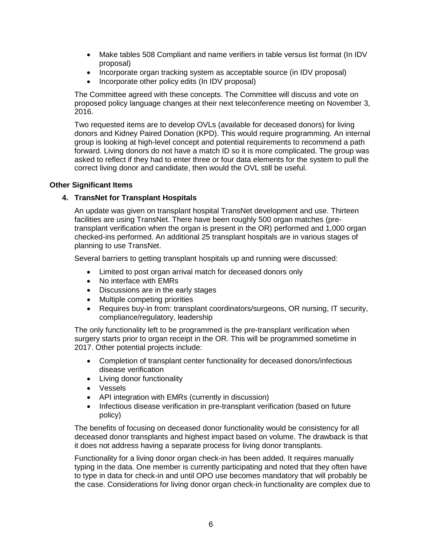- Make tables 508 Compliant and name verifiers in table versus list format (In IDV proposal)
- Incorporate organ tracking system as acceptable source (in IDV proposal)
- Incorporate other policy edits (In IDV proposal)

The Committee agreed with these concepts. The Committee will discuss and vote on proposed policy language changes at their next teleconference meeting on November 3, 2016.

Two requested items are to develop OVLs (available for deceased donors) for living donors and Kidney Paired Donation (KPD). This would require programming. An internal group is looking at high-level concept and potential requirements to recommend a path forward. Living donors do not have a match ID so it is more complicated. The group was asked to reflect if they had to enter three or four data elements for the system to pull the correct living donor and candidate, then would the OVL still be useful.

## **Other Significant Items**

# **4. TransNet for Transplant Hospitals**

An update was given on transplant hospital TransNet development and use. Thirteen facilities are using TransNet. There have been roughly 500 organ matches (pretransplant verification when the organ is present in the OR) performed and 1,000 organ checked-ins performed. An additional 25 transplant hospitals are in various stages of planning to use TransNet.

Several barriers to getting transplant hospitals up and running were discussed:

- Limited to post organ arrival match for deceased donors only
- No interface with EMRs
- Discussions are in the early stages
- Multiple competing priorities
- Requires buy-in from: transplant coordinators/surgeons, OR nursing, IT security, compliance/regulatory, leadership

The only functionality left to be programmed is the pre-transplant verification when surgery starts prior to organ receipt in the OR. This will be programmed sometime in 2017. Other potential projects include:

- Completion of transplant center functionality for deceased donors/infectious disease verification
- Living donor functionality
- Vessels
- API integration with EMRs (currently in discussion)
- Infectious disease verification in pre-transplant verification (based on future policy)

The benefits of focusing on deceased donor functionality would be consistency for all deceased donor transplants and highest impact based on volume. The drawback is that it does not address having a separate process for living donor transplants.

Functionality for a living donor organ check-in has been added. It requires manually typing in the data. One member is currently participating and noted that they often have to type in data for check-in and until OPO use becomes mandatory that will probably be the case. Considerations for living donor organ check-in functionality are complex due to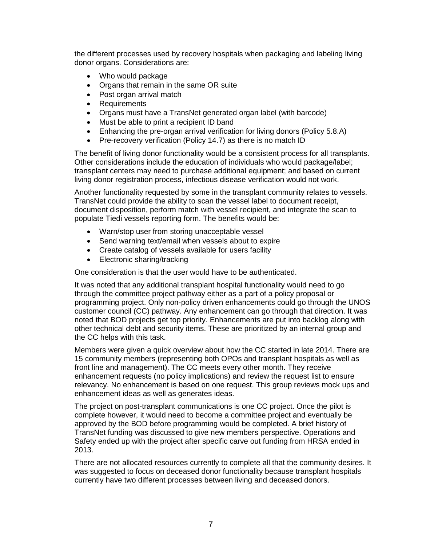the different processes used by recovery hospitals when packaging and labeling living donor organs. Considerations are:

- Who would package
- Organs that remain in the same OR suite
- Post organ arrival match
- Requirements
- Organs must have a TransNet generated organ label (with barcode)
- Must be able to print a recipient ID band
- Enhancing the pre-organ arrival verification for living donors (Policy 5.8.A)
- Pre-recovery verification (Policy 14.7) as there is no match ID

The benefit of living donor functionality would be a consistent process for all transplants. Other considerations include the education of individuals who would package/label; transplant centers may need to purchase additional equipment; and based on current living donor registration process, infectious disease verification would not work.

Another functionality requested by some in the transplant community relates to vessels. TransNet could provide the ability to scan the vessel label to document receipt, document disposition, perform match with vessel recipient, and integrate the scan to populate Tiedi vessels reporting form. The benefits would be:

- Warn/stop user from storing unacceptable vessel
- Send warning text/email when vessels about to expire
- Create catalog of vessels available for users facility
- Electronic sharing/tracking

One consideration is that the user would have to be authenticated.

It was noted that any additional transplant hospital functionality would need to go through the committee project pathway either as a part of a policy proposal or programming project. Only non-policy driven enhancements could go through the UNOS customer council (CC) pathway. Any enhancement can go through that direction. It was noted that BOD projects get top priority. Enhancements are put into backlog along with other technical debt and security items. These are prioritized by an internal group and the CC helps with this task.

Members were given a quick overview about how the CC started in late 2014. There are 15 community members (representing both OPOs and transplant hospitals as well as front line and management). The CC meets every other month. They receive enhancement requests (no policy implications) and review the request list to ensure relevancy. No enhancement is based on one request. This group reviews mock ups and enhancement ideas as well as generates ideas.

The project on post-transplant communications is one CC project. Once the pilot is complete however, it would need to become a committee project and eventually be approved by the BOD before programming would be completed. A brief history of TransNet funding was discussed to give new members perspective. Operations and Safety ended up with the project after specific carve out funding from HRSA ended in 2013.

There are not allocated resources currently to complete all that the community desires. It was suggested to focus on deceased donor functionality because transplant hospitals currently have two different processes between living and deceased donors.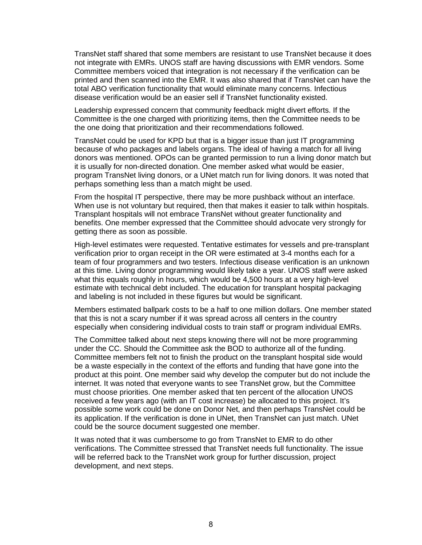TransNet staff shared that some members are resistant to use TransNet because it does not integrate with EMRs. UNOS staff are having discussions with EMR vendors. Some Committee members voiced that integration is not necessary if the verification can be printed and then scanned into the EMR. It was also shared that if TransNet can have the total ABO verification functionality that would eliminate many concerns. Infectious disease verification would be an easier sell if TransNet functionality existed.

Leadership expressed concern that community feedback might divert efforts. If the Committee is the one charged with prioritizing items, then the Committee needs to be the one doing that prioritization and their recommendations followed.

TransNet could be used for KPD but that is a bigger issue than just IT programming because of who packages and labels organs. The ideal of having a match for all living donors was mentioned. OPOs can be granted permission to run a living donor match but it is usually for non-directed donation. One member asked what would be easier, program TransNet living donors, or a UNet match run for living donors. It was noted that perhaps something less than a match might be used.

From the hospital IT perspective, there may be more pushback without an interface. When use is not voluntary but required, then that makes it easier to talk within hospitals. Transplant hospitals will not embrace TransNet without greater functionality and benefits. One member expressed that the Committee should advocate very strongly for getting there as soon as possible.

High-level estimates were requested. Tentative estimates for vessels and pre-transplant verification prior to organ receipt in the OR were estimated at 3-4 months each for a team of four programmers and two testers. Infectious disease verification is an unknown at this time. Living donor programming would likely take a year. UNOS staff were asked what this equals roughly in hours, which would be 4,500 hours at a very high-level estimate with technical debt included. The education for transplant hospital packaging and labeling is not included in these figures but would be significant.

Members estimated ballpark costs to be a half to one million dollars. One member stated that this is not a scary number if it was spread across all centers in the country especially when considering individual costs to train staff or program individual EMRs.

The Committee talked about next steps knowing there will not be more programming under the CC. Should the Committee ask the BOD to authorize all of the funding. Committee members felt not to finish the product on the transplant hospital side would be a waste especially in the context of the efforts and funding that have gone into the product at this point. One member said why develop the computer but do not include the internet. It was noted that everyone wants to see TransNet grow, but the Committee must choose priorities. One member asked that ten percent of the allocation UNOS received a few years ago (with an IT cost increase) be allocated to this project. It's possible some work could be done on Donor Net, and then perhaps TransNet could be its application. If the verification is done in UNet, then TransNet can just match. UNet could be the source document suggested one member.

It was noted that it was cumbersome to go from TransNet to EMR to do other verifications. The Committee stressed that TransNet needs full functionality. The issue will be referred back to the TransNet work group for further discussion, project development, and next steps.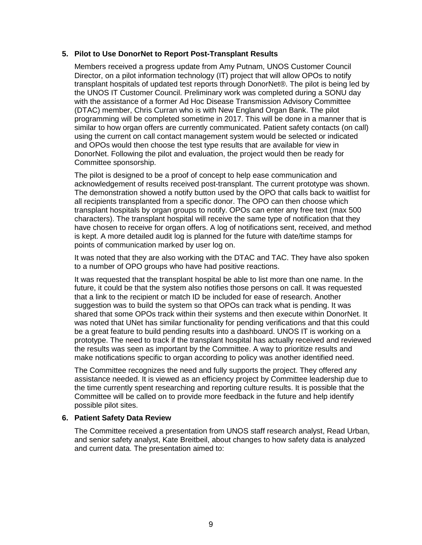### **5. Pilot to Use DonorNet to Report Post-Transplant Results**

Members received a progress update from Amy Putnam, UNOS Customer Council Director, on a pilot information technology (IT) project that will allow OPOs to notify transplant hospitals of updated test reports through DonorNet®. The pilot is being led by the UNOS IT Customer Council. Preliminary work was completed during a SONU day with the assistance of a former Ad Hoc Disease Transmission Advisory Committee (DTAC) member, Chris Curran who is with New England Organ Bank. The pilot programming will be completed sometime in 2017. This will be done in a manner that is similar to how organ offers are currently communicated. Patient safety contacts (on call) using the current on call contact management system would be selected or indicated and OPOs would then choose the test type results that are available for view in DonorNet. Following the pilot and evaluation, the project would then be ready for Committee sponsorship.

The pilot is designed to be a proof of concept to help ease communication and acknowledgement of results received post-transplant. The current prototype was shown. The demonstration showed a notify button used by the OPO that calls back to waitlist for all recipients transplanted from a specific donor. The OPO can then choose which transplant hospitals by organ groups to notify. OPOs can enter any free text (max 500 characters). The transplant hospital will receive the same type of notification that they have chosen to receive for organ offers. A log of notifications sent, received, and method is kept. A more detailed audit log is planned for the future with date/time stamps for points of communication marked by user log on.

It was noted that they are also working with the DTAC and TAC. They have also spoken to a number of OPO groups who have had positive reactions.

It was requested that the transplant hospital be able to list more than one name. In the future, it could be that the system also notifies those persons on call. It was requested that a link to the recipient or match ID be included for ease of research. Another suggestion was to build the system so that OPOs can track what is pending. It was shared that some OPOs track within their systems and then execute within DonorNet. It was noted that UNet has similar functionality for pending verifications and that this could be a great feature to build pending results into a dashboard. UNOS IT is working on a prototype. The need to track if the transplant hospital has actually received and reviewed the results was seen as important by the Committee. A way to prioritize results and make notifications specific to organ according to policy was another identified need.

The Committee recognizes the need and fully supports the project. They offered any assistance needed. It is viewed as an efficiency project by Committee leadership due to the time currently spent researching and reporting culture results. It is possible that the Committee will be called on to provide more feedback in the future and help identify possible pilot sites.

#### **6. Patient Safety Data Review**

The Committee received a presentation from UNOS staff research analyst, Read Urban, and senior safety analyst, Kate Breitbeil, about changes to how safety data is analyzed and current data. The presentation aimed to: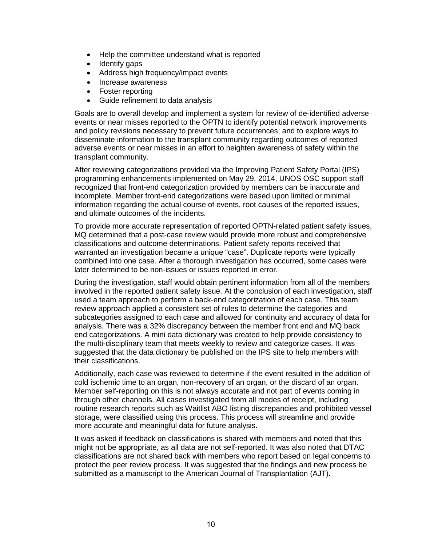- Help the committee understand what is reported
- Identify gaps
- Address high frequency/impact events
- Increase awareness
- Foster reporting
- Guide refinement to data analysis

Goals are to overall develop and implement a system for review of de-identified adverse events or near misses reported to the OPTN to identify potential network improvements and policy revisions necessary to prevent future occurrences; and to explore ways to disseminate information to the transplant community regarding outcomes of reported adverse events or near misses in an effort to heighten awareness of safety within the transplant community.

After reviewing categorizations provided via the Improving Patient Safety Portal (IPS) programming enhancements implemented on May 29, 2014, UNOS OSC support staff recognized that front-end categorization provided by members can be inaccurate and incomplete. Member front-end categorizations were based upon limited or minimal information regarding the actual course of events, root causes of the reported issues, and ultimate outcomes of the incidents.

To provide more accurate representation of reported OPTN-related patient safety issues, MQ determined that a post-case review would provide more robust and comprehensive classifications and outcome determinations. Patient safety reports received that warranted an investigation became a unique "case". Duplicate reports were typically combined into one case. After a thorough investigation has occurred, some cases were later determined to be non-issues or issues reported in error.

During the investigation, staff would obtain pertinent information from all of the members involved in the reported patient safety issue. At the conclusion of each investigation, staff used a team approach to perform a back-end categorization of each case. This team review approach applied a consistent set of rules to determine the categories and subcategories assigned to each case and allowed for continuity and accuracy of data for analysis. There was a 32% discrepancy between the member front end and MQ back end categorizations. A mini data dictionary was created to help provide consistency to the multi-disciplinary team that meets weekly to review and categorize cases. It was suggested that the data dictionary be published on the IPS site to help members with their classifications.

Additionally, each case was reviewed to determine if the event resulted in the addition of cold ischemic time to an organ, non-recovery of an organ, or the discard of an organ. Member self-reporting on this is not always accurate and not part of events coming in through other channels. All cases investigated from all modes of receipt, including routine research reports such as Waitlist ABO listing discrepancies and prohibited vessel storage, were classified using this process. This process will streamline and provide more accurate and meaningful data for future analysis.

It was asked if feedback on classifications is shared with members and noted that this might not be appropriate, as all data are not self-reported. It was also noted that DTAC classifications are not shared back with members who report based on legal concerns to protect the peer review process. It was suggested that the findings and new process be submitted as a manuscript to the American Journal of Transplantation (AJT).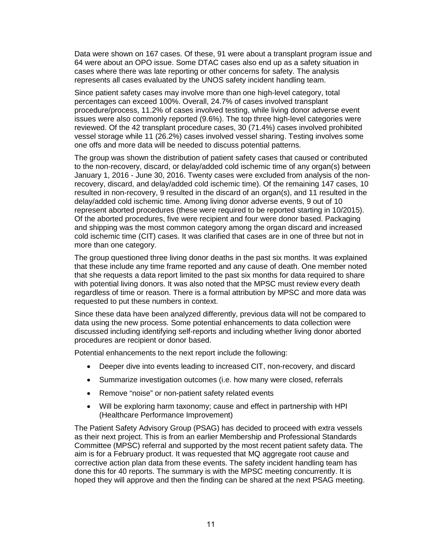Data were shown on 167 cases. Of these, 91 were about a transplant program issue and 64 were about an OPO issue. Some DTAC cases also end up as a safety situation in cases where there was late reporting or other concerns for safety. The analysis represents all cases evaluated by the UNOS safety incident handling team.

Since patient safety cases may involve more than one high-level category, total percentages can exceed 100%. Overall, 24.7% of cases involved transplant procedure/process, 11.2% of cases involved testing, while living donor adverse event issues were also commonly reported (9.6%). The top three high-level categories were reviewed. Of the 42 transplant procedure cases, 30 (71.4%) cases involved prohibited vessel storage while 11 (26.2%) cases involved vessel sharing. Testing involves some one offs and more data will be needed to discuss potential patterns.

The group was shown the distribution of patient safety cases that caused or contributed to the non-recovery, discard, or delay/added cold ischemic time of any organ(s) between January 1, 2016 - June 30, 2016. Twenty cases were excluded from analysis of the nonrecovery, discard, and delay/added cold ischemic time). Of the remaining 147 cases, 10 resulted in non-recovery, 9 resulted in the discard of an organ(s), and 11 resulted in the delay/added cold ischemic time. Among living donor adverse events, 9 out of 10 represent aborted procedures (these were required to be reported starting in 10/2015). Of the aborted procedures, five were recipient and four were donor based. Packaging and shipping was the most common category among the organ discard and increased cold ischemic time (CIT) cases. It was clarified that cases are in one of three but not in more than one category.

The group questioned three living donor deaths in the past six months. It was explained that these include any time frame reported and any cause of death. One member noted that she requests a data report limited to the past six months for data required to share with potential living donors. It was also noted that the MPSC must review every death regardless of time or reason. There is a formal attribution by MPSC and more data was requested to put these numbers in context.

Since these data have been analyzed differently, previous data will not be compared to data using the new process. Some potential enhancements to data collection were discussed including identifying self-reports and including whether living donor aborted procedures are recipient or donor based.

Potential enhancements to the next report include the following:

- Deeper dive into events leading to increased CIT, non-recovery, and discard
- Summarize investigation outcomes (i.e. how many were closed, referrals
- Remove "noise" or non-patient safety related events
- Will be exploring harm taxonomy; cause and effect in partnership with HPI (Healthcare Performance Improvement)

The Patient Safety Advisory Group (PSAG) has decided to proceed with extra vessels as their next project. This is from an earlier Membership and Professional Standards Committee (MPSC) referral and supported by the most recent patient safety data. The aim is for a February product. It was requested that MQ aggregate root cause and corrective action plan data from these events. The safety incident handling team has done this for 40 reports. The summary is with the MPSC meeting concurrently. It is hoped they will approve and then the finding can be shared at the next PSAG meeting.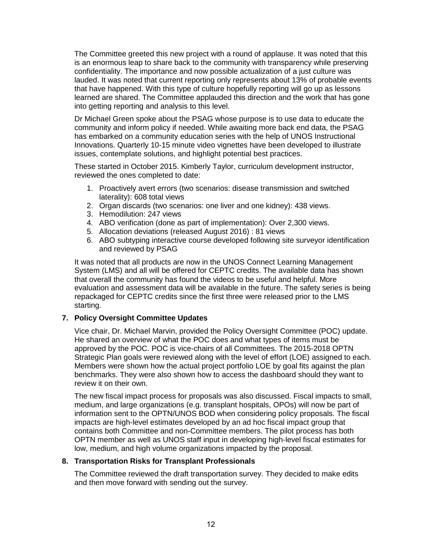The Committee greeted this new project with a round of applause. It was noted that this is an enormous leap to share back to the community with transparency while preserving confidentiality. The importance and now possible actualization of a just culture was lauded. It was noted that current reporting only represents about 13% of probable events that have happened. With this type of culture hopefully reporting will go up as lessons learned are shared. The Committee applauded this direction and the work that has gone into getting reporting and analysis to this level.

Dr Michael Green spoke about the PSAG whose purpose is to use data to educate the community and inform policy if needed. While awaiting more back end data, the PSAG has embarked on a community education series with the help of UNOS Instructional Innovations. Quarterly 10-15 minute video vignettes have been developed to illustrate issues, contemplate solutions, and highlight potential best practices.

These started in October 2015. Kimberly Taylor, curriculum development instructor, reviewed the ones completed to date:

- 1. Proactively avert errors (two scenarios: disease transmission and switched laterality): 608 total views
- 2. Organ discards (two scenarios: one liver and one kidney): 438 views.
- 3. Hemodilution: 247 views
- 4. ABO verification (done as part of implementation): Over 2,300 views.
- 5. Allocation deviations (released August 2016) : 81 views
- 6. ABO subtyping interactive course developed following site surveyor identification and reviewed by PSAG

It was noted that all products are now in the UNOS Connect Learning Management System (LMS) and all will be offered for CEPTC credits. The available data has shown that overall the community has found the videos to be useful and helpful. More evaluation and assessment data will be available in the future. The safety series is being repackaged for CEPTC credits since the first three were released prior to the LMS starting.

## **7. Policy Oversight Committee Updates**

Vice chair, Dr. Michael Marvin, provided the Policy Oversight Committee (POC) update. He shared an overview of what the POC does and what types of items must be approved by the POC. POC is vice-chairs of all Committees. The 2015-2018 OPTN Strategic Plan goals were reviewed along with the level of effort (LOE) assigned to each. Members were shown how the actual project portfolio LOE by goal fits against the plan benchmarks. They were also shown how to access the dashboard should they want to review it on their own.

The new fiscal impact process for proposals was also discussed. Fiscal impacts to small, medium, and large organizations (e.g. transplant hospitals, OPOs) will now be part of information sent to the OPTN/UNOS BOD when considering policy proposals. The fiscal impacts are high-level estimates developed by an ad hoc fiscal impact group that contains both Committee and non-Committee members. The pilot process has both OPTN member as well as UNOS staff input in developing high-level fiscal estimates for low, medium, and high volume organizations impacted by the proposal.

## **8. Transportation Risks for Transplant Professionals**

The Committee reviewed the draft transportation survey. They decided to make edits and then move forward with sending out the survey.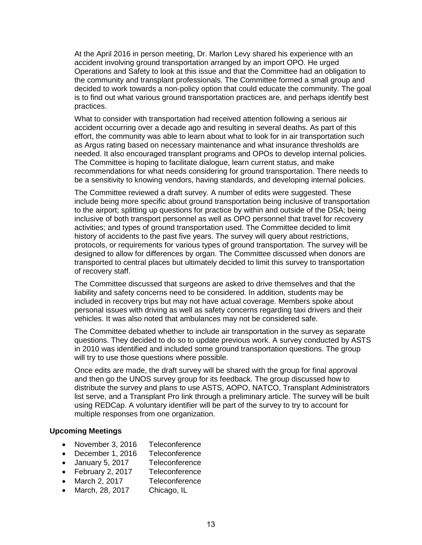At the April 2016 in person meeting, Dr. Marlon Levy shared his experience with an accident involving ground transportation arranged by an import OPO. He urged Operations and Safety to look at this issue and that the Committee had an obligation to the community and transplant professionals. The Committee formed a small group and decided to work towards a non-policy option that could educate the community. The goal is to find out what various ground transportation practices are, and perhaps identify best practices.

What to consider with transportation had received attention following a serious air accident occurring over a decade ago and resulting in several deaths. As part of this effort, the community was able to learn about what to look for in air transportation such as Argus rating based on necessary maintenance and what insurance thresholds are needed. It also encouraged transplant programs and OPOs to develop internal policies. The Committee is hoping to facilitate dialogue, learn current status, and make recommendations for what needs considering for ground transportation. There needs to be a sensitivity to knowing vendors, having standards, and developing internal policies.

The Committee reviewed a draft survey. A number of edits were suggested. These include being more specific about ground transportation being inclusive of transportation to the airport; splitting up questions for practice by within and outside of the DSA; being inclusive of both transport personnel as well as OPO personnel that travel for recovery activities; and types of ground transportation used. The Committee decided to limit history of accidents to the past five years. The survey will query about restrictions, protocols, or requirements for various types of ground transportation. The survey will be designed to allow for differences by organ. The Committee discussed when donors are transported to central places but ultimately decided to limit this survey to transportation of recovery staff.

The Committee discussed that surgeons are asked to drive themselves and that the liability and safety concerns need to be considered. In addition, students may be included in recovery trips but may not have actual coverage. Members spoke about personal issues with driving as well as safety concerns regarding taxi drivers and their vehicles. It was also noted that ambulances may not be considered safe.

The Committee debated whether to include air transportation in the survey as separate questions. They decided to do so to update previous work. A survey conducted by ASTS in 2010 was identified and included some ground transportation questions. The group will try to use those questions where possible.

Once edits are made, the draft survey will be shared with the group for final approval and then go the UNOS survey group for its feedback. The group discussed how to distribute the survey and plans to use ASTS, AOPO, NATCO, Transplant Administrators list serve, and a Transplant Pro link through a preliminary article. The survey will be built using REDCap. A voluntary identifier will be part of the survey to try to account for multiple responses from one organization.

#### **Upcoming Meetings**

- November 3, 2016 Teleconference
- December 1, 2016 Teleconference
- January 5, 2017 Teleconference
- February 2, 2017 Teleconference
- March 2, 2017 Teleconference
- March, 28, 2017 Chicago, IL